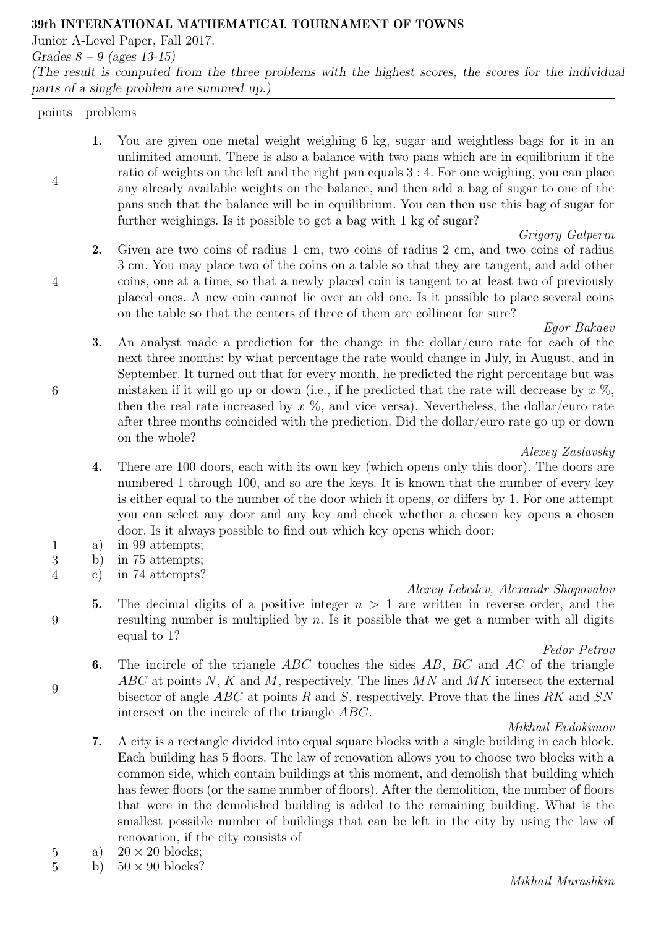#### 39th INTERNATIONAL MATHEMATICAL TOURNAMENT OF TOWNS

Junior A-Level Paper, Fall 2017.

Grades  $8 - 9$  (ages 13-15)

(The result is computed from the three problems with the highest scores, the scores for the individual parts of a single problem are summed up.)

#### points problems

4

4

6

9

9

1. You are given one metal weight weighing 6 kg, sugar and weightless bags for it in an unlimited amount. There is also a balance with two pans which are in equilibrium if the ratio of weights on the left and the right pan equals 3 : 4. For one weighing, you can place any already available weights on the balance, and then add a bag of sugar to one of the pans such that the balance will be in equilibrium. You can then use this bag of sugar for further weighings. Is it possible to get a bag with 1 kg of sugar?

# Grigory Galperin

2. Given are two coins of radius 1 cm, two coins of radius 2 cm, and two coins of radius 3 cm. You may place two of the coins on a table so that they are tangent, and add other coins, one at a time, so that a newly placed coin is tangent to at least two of previously placed ones. A new coin cannot lie over an old one. Is it possible to place several coins on the table so that the centers of three of them are collinear for sure?

# Egor Bakaev

3. An analyst made a prediction for the change in the dollar/euro rate for each of the next three months: by what percentage the rate would change in July, in August, and in September. It turned out that for every month, he predicted the right percentage but was mistaken if it will go up or down (i.e., if he predicted that the rate will decrease by  $x \%$ , then the real rate increased by  $x \%$ , and vice versa). Nevertheless, the dollar/euro rate after three months coincided with the prediction. Did the dollar/euro rate go up or down on the whole?

# Alexey Zaslavsky

- 4. There are 100 doors, each with its own key (which opens only this door). The doors are numbered 1 through 100, and so are the keys. It is known that the number of every key is either equal to the number of the door which it opens, or differs by 1. For one attempt you can select any door and any key and check whether a chosen key opens a chosen door. Is it always possible to find out which key opens which door:
- 1 a) in 99 attempts;
- 3 b) in 75 attempts;
- 4 c) in 74 attempts?

# Alexey Lebedev, Alexandr Shapovalov

5. The decimal digits of a positive integer  $n > 1$  are written in reverse order, and the resulting number is multiplied by  $n$ . Is it possible that we get a number with all digits equal to 1?

# Fedor Petrov

6. The incircle of the triangle  $ABC$  touches the sides  $AB$ ,  $BC$  and  $AC$  of the triangle  $ABC$  at points N, K and M, respectively. The lines MN and MK intersect the external bisector of angle ABC at points R and S, respectively. Prove that the lines RK and SN intersect on the incircle of the triangle ABC.

# Mikhail Evdokimov

- 7. A city is a rectangle divided into equal square blocks with a single building in each block. Each building has 5 floors. The law of renovation allows you to choose two blocks with a common side, which contain buildings at this moment, and demolish that building which has fewer floors (or the same number of floors). After the demolition, the number of floors that were in the demolished building is added to the remaining building. What is the smallest possible number of buildings that can be left in the city by using the law of renovation, if the city consists of
- 5 a)  $20 \times 20$  blocks;
- 5 b)  $50 \times 90$  blocks?

# Mikhail Murashkin